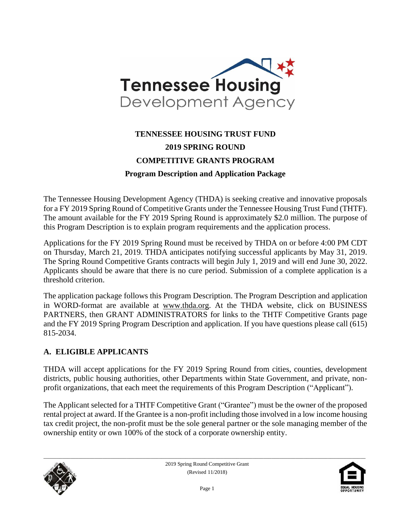

# **TENNESSEE HOUSING TRUST FUND 2019 SPRING ROUND COMPETITIVE GRANTS PROGRAM Program Description and Application Package**

The Tennessee Housing Development Agency (THDA) is seeking creative and innovative proposals for a FY 2019 Spring Round of Competitive Grants under the Tennessee Housing Trust Fund (THTF). The amount available for the FY 2019 Spring Round is approximately \$2.0 million. The purpose of this Program Description is to explain program requirements and the application process.

Applications for the FY 2019 Spring Round must be received by THDA on or before 4:00 PM CDT on Thursday, March 21, 2019. THDA anticipates notifying successful applicants by May 31, 2019. The Spring Round Competitive Grants contracts will begin July 1, 2019 and will end June 30, 2022. Applicants should be aware that there is no cure period. Submission of a complete application is a threshold criterion.

The application package follows this Program Description. The Program Description and application in WORD-format are available at [www.thda.org.](file:///C:/Users/lmiller/AppData/Local/Microsoft/Windows/Documents%20and%20Settings/CHolloway/Local%20Settings/Temporary%20Internet%20Files/Content.Outlook/Local%20Settings/Temporary%20Internet%20Files/Content.Outlook/UYMA8P3Z/www.thda.org) At the THDA website, click on BUSINESS PARTNERS, then GRANT ADMINISTRATORS for links to the THTF Competitive Grants page and the FY 2019 Spring Program Description and application. If you have questions please call (615) 815-2034.

#### **A. ELIGIBLE APPLICANTS**

THDA will accept applications for the FY 2019 Spring Round from cities, counties, development districts, public housing authorities, other Departments within State Government, and private, nonprofit organizations, that each meet the requirements of this Program Description ("Applicant").

The Applicant selected for a THTF Competitive Grant ("Grantee") must be the owner of the proposed rental project at award. If the Grantee is a non-profit including those involved in a low income housing tax credit project, the non-profit must be the sole general partner or the sole managing member of the ownership entity or own 100% of the stock of a corporate ownership entity.



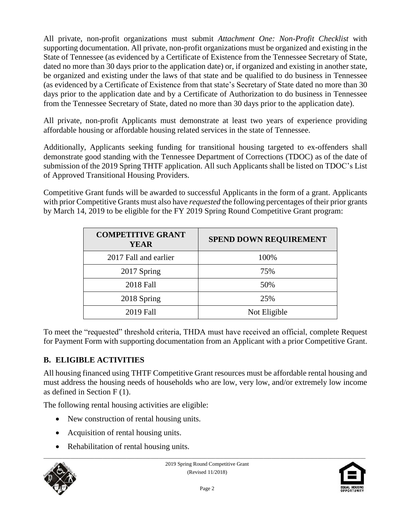All private, non-profit organizations must submit *Attachment One: Non-Profit Checklist* with supporting documentation. All private, non-profit organizations must be organized and existing in the State of Tennessee (as evidenced by a Certificate of Existence from the Tennessee Secretary of State, dated no more than 30 days prior to the application date) or, if organized and existing in another state, be organized and existing under the laws of that state and be qualified to do business in Tennessee (as evidenced by a Certificate of Existence from that state's Secretary of State dated no more than 30 days prior to the application date and by a Certificate of Authorization to do business in Tennessee from the Tennessee Secretary of State, dated no more than 30 days prior to the application date).

All private, non-profit Applicants must demonstrate at least two years of experience providing affordable housing or affordable housing related services in the state of Tennessee.

Additionally, Applicants seeking funding for transitional housing targeted to ex-offenders shall demonstrate good standing with the Tennessee Department of Corrections (TDOC) as of the date of submission of the 2019 Spring THTF application. All such Applicants shall be listed on TDOC's List of Approved Transitional Housing Providers.

Competitive Grant funds will be awarded to successful Applicants in the form of a grant. Applicants with prior Competitive Grants must also have *requested* the following percentages of their prior grants by March 14, 2019 to be eligible for the FY 2019 Spring Round Competitive Grant program:

| <b>COMPETITIVE GRANT</b><br>YEAR | <b>SPEND DOWN REQUIREMENT</b> |
|----------------------------------|-------------------------------|
| 2017 Fall and earlier            | 100%                          |
| 2017 Spring                      | 75%                           |
| <b>2018 Fall</b>                 | 50%                           |
| 2018 Spring                      | 25%                           |
| 2019 Fall                        | Not Eligible                  |

To meet the "requested" threshold criteria, THDA must have received an official, complete Request for Payment Form with supporting documentation from an Applicant with a prior Competitive Grant.

### **B. ELIGIBLE ACTIVITIES**

All housing financed using THTF Competitive Grant resources must be affordable rental housing and must address the housing needs of households who are low, very low, and/or extremely low income as defined in Section F (1).

The following rental housing activities are eligible:

- New construction of rental housing units.
- Acquisition of rental housing units.
- Rehabilitation of rental housing units.



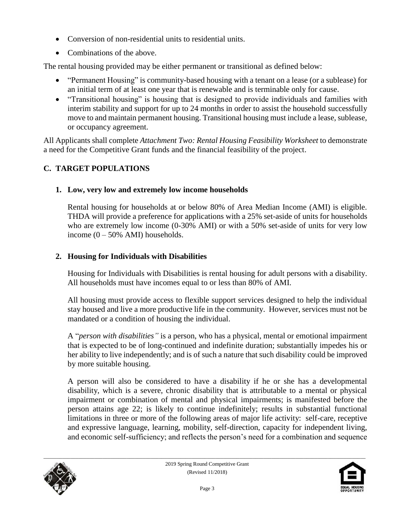- Conversion of non-residential units to residential units.
- Combinations of the above.

The rental housing provided may be either permanent or transitional as defined below:

- "Permanent Housing" is community-based housing with a tenant on a lease (or a sublease) for an initial term of at least one year that is renewable and is terminable only for cause.
- "Transitional housing" is housing that is designed to provide individuals and families with interim stability and support for up to 24 months in order to assist the household successfully move to and maintain permanent housing. Transitional housing must include a lease, sublease, or occupancy agreement.

All Applicants shall complete *Attachment Two: Rental Housing Feasibility Worksheet* to demonstrate a need for the Competitive Grant funds and the financial feasibility of the project.

# **C. TARGET POPULATIONS**

### **1. Low, very low and extremely low income households**

Rental housing for households at or below 80% of Area Median Income (AMI) is eligible. THDA will provide a preference for applications with a 25% set-aside of units for households who are extremely low income (0-30% AMI) or with a 50% set-aside of units for very low income  $(0 - 50\%$  AMI) households.

# **2. Housing for Individuals with Disabilities**

Housing for Individuals with Disabilities is rental housing for adult persons with a disability. All households must have incomes equal to or less than 80% of AMI.

All housing must provide access to flexible support services designed to help the individual stay housed and live a more productive life in the community. However, services must not be mandated or a condition of housing the individual.

A "*person with disabilities"* is a person, who has a physical, mental or emotional impairment that is expected to be of long-continued and indefinite duration; substantially impedes his or her ability to live independently; and is of such a nature that such disability could be improved by more suitable housing.

A person will also be considered to have a disability if he or she has a developmental disability, which is a severe, chronic disability that is attributable to a mental or physical impairment or combination of mental and physical impairments; is manifested before the person attains age 22; is likely to continue indefinitely; results in substantial functional limitations in three or more of the following areas of major life activity: self-care, receptive and expressive language, learning, mobility, self-direction, capacity for independent living, and economic self-sufficiency; and reflects the person's need for a combination and sequence



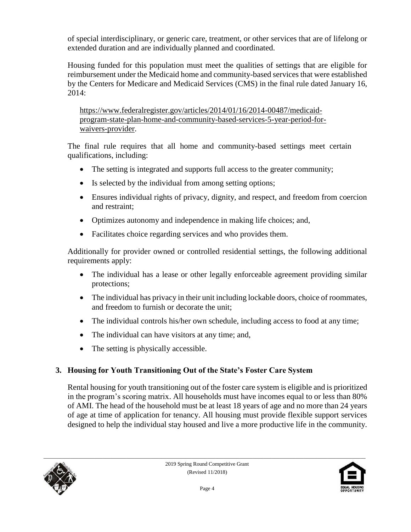of special interdisciplinary, or generic care, treatment, or other services that are of lifelong or extended duration and are individually planned and coordinated.

Housing funded for this population must meet the qualities of settings that are eligible for reimbursement under the Medicaid home and community-based services that were established by the Centers for Medicare and Medicaid Services (CMS) in the final rule dated January 16, 2014:

[https://www.federalregister.gov/articles/2014/01/16/2014-00487/medicaid](https://www.federalregister.gov/articles/2014/01/16/2014-00487/medicaid-program-state-plan-home-and-community-based-services-5-year-period-for-waivers-provider)[program-state-plan-home-and-community-based-services-5-year-period-for](https://www.federalregister.gov/articles/2014/01/16/2014-00487/medicaid-program-state-plan-home-and-community-based-services-5-year-period-for-waivers-provider)[waivers-provider.](https://www.federalregister.gov/articles/2014/01/16/2014-00487/medicaid-program-state-plan-home-and-community-based-services-5-year-period-for-waivers-provider)

The final rule requires that all home and community-based settings meet certain qualifications, including:

- The setting is integrated and supports full access to the greater community;
- Is selected by the individual from among setting options;
- Ensures individual rights of privacy, dignity, and respect, and freedom from coercion and restraint;
- Optimizes autonomy and independence in making life choices; and,
- Facilitates choice regarding services and who provides them.

Additionally for provider owned or controlled residential settings, the following additional requirements apply:

- The individual has a lease or other legally enforceable agreement providing similar protections;
- The individual has privacy in their unit including lockable doors, choice of roommates, and freedom to furnish or decorate the unit;
- The individual controls his/her own schedule, including access to food at any time;
- The individual can have visitors at any time; and,
- The setting is physically accessible.

# **3. Housing for Youth Transitioning Out of the State's Foster Care System**

Rental housing for youth transitioning out of the foster care system is eligible and is prioritized in the program's scoring matrix. All households must have incomes equal to or less than 80% of AMI. The head of the household must be at least 18 years of age and no more than 24 years of age at time of application for tenancy. All housing must provide flexible support services designed to help the individual stay housed and live a more productive life in the community.



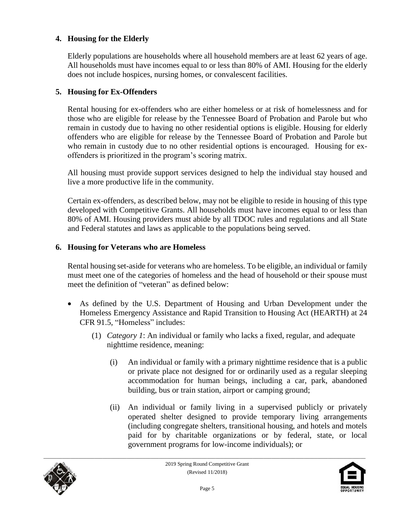#### **4. Housing for the Elderly**

Elderly populations are households where all household members are at least 62 years of age. All households must have incomes equal to or less than 80% of AMI. Housing for the elderly does not include hospices, nursing homes, or convalescent facilities.

#### **5. Housing for Ex-Offenders**

Rental housing for ex-offenders who are either homeless or at risk of homelessness and for those who are eligible for release by the Tennessee Board of Probation and Parole but who remain in custody due to having no other residential options is eligible. Housing for elderly offenders who are eligible for release by the Tennessee Board of Probation and Parole but who remain in custody due to no other residential options is encouraged. Housing for exoffenders is prioritized in the program's scoring matrix.

All housing must provide support services designed to help the individual stay housed and live a more productive life in the community.

Certain ex-offenders, as described below, may not be eligible to reside in housing of this type developed with Competitive Grants. All households must have incomes equal to or less than 80% of AMI. Housing providers must abide by all TDOC rules and regulations and all State and Federal statutes and laws as applicable to the populations being served.

#### **6. Housing for Veterans who are Homeless**

Rental housing set-aside for veterans who are homeless. To be eligible, an individual or family must meet one of the categories of homeless and the head of household or their spouse must meet the definition of "veteran" as defined below:

- As defined by the U.S. Department of Housing and Urban Development under the Homeless Emergency Assistance and Rapid Transition to Housing Act (HEARTH) at 24 CFR 91.5, "Homeless" includes:
	- (1) *Category 1*: An individual or family who lacks a fixed, regular, and adequate nighttime residence, meaning:
		- (i) An individual or family with a primary nighttime residence that is a public or private place not designed for or ordinarily used as a regular sleeping accommodation for human beings, including a car, park, abandoned building, bus or train station, airport or camping ground;
		- (ii) An individual or family living in a supervised publicly or privately operated shelter designed to provide temporary living arrangements (including congregate shelters, transitional housing, and hotels and motels paid for by charitable organizations or by federal, state, or local government programs for low-income individuals); or



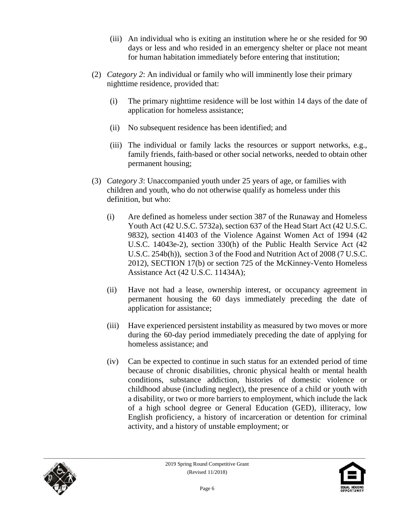- (iii) An individual who is exiting an institution where he or she resided for 90 days or less and who resided in an emergency shelter or place not meant for human habitation immediately before entering that institution;
- (2) *Category 2*: An individual or family who will imminently lose their primary nighttime residence, provided that:
	- (i) The primary nighttime residence will be lost within 14 days of the date of application for homeless assistance;
	- (ii) No subsequent residence has been identified; and
	- (iii) The individual or family lacks the resources or support networks, e.g., family friends, faith-based or other social networks, needed to obtain other permanent housing;
- (3) *Category 3*: Unaccompanied youth under 25 years of age, or families with children and youth, who do not otherwise qualify as homeless under this definition, but who:
	- (i) Are defined as homeless under section 387 of the Runaway and Homeless Youth Act (42 U.S.C. 5732a), section 637 of the Head Start Act (42 U.S.C. 9832), section 41403 of the Violence Against Women Act of 1994 (42 U.S.C. 14043e-2), section 330(h) of the Public Health Service Act (42 U.S.C. 254b(h)), section 3 of the Food and Nutrition Act of 2008 (7 U.S.C. 2012), SECTION 17(b) or section 725 of the McKinney-Vento Homeless Assistance Act (42 U.S.C. 11434A);
	- (ii) Have not had a lease, ownership interest, or occupancy agreement in permanent housing the 60 days immediately preceding the date of application for assistance;
	- (iii) Have experienced persistent instability as measured by two moves or more during the 60-day period immediately preceding the date of applying for homeless assistance; and
	- (iv) Can be expected to continue in such status for an extended period of time because of chronic disabilities, chronic physical health or mental health conditions, substance addiction, histories of domestic violence or childhood abuse (including neglect), the presence of a child or youth with a disability, or two or more barriers to employment, which include the lack of a high school degree or General Education (GED), illiteracy, low English proficiency, a history of incarceration or detention for criminal activity, and a history of unstable employment; or



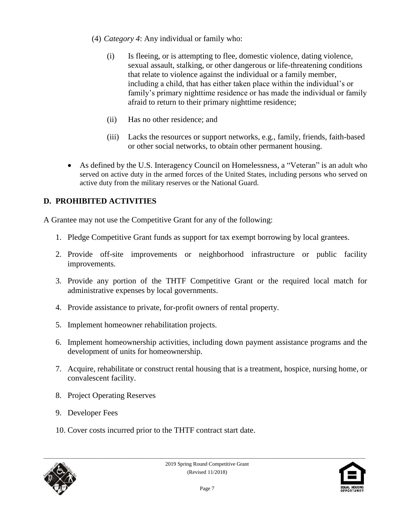- (4) *Category 4*: Any individual or family who:
	- (i) Is fleeing, or is attempting to flee, domestic violence, dating violence, sexual assault, stalking, or other dangerous or life-threatening conditions that relate to violence against the individual or a family member, including a child, that has either taken place within the individual's or family's primary nighttime residence or has made the individual or family afraid to return to their primary nighttime residence;
	- (ii) Has no other residence; and
	- (iii) Lacks the resources or support networks, e.g., family, friends, faith-based or other social networks, to obtain other permanent housing.
- As defined by the U.S. Interagency Council on Homelessness, a "Veteran" is an adult who served on active duty in the armed forces of the United States, including persons who served on active duty from the military reserves or the National Guard.

# **D. PROHIBITED ACTIVITIES**

A Grantee may not use the Competitive Grant for any of the following:

- 1. Pledge Competitive Grant funds as support for tax exempt borrowing by local grantees.
- 2. Provide off-site improvements or neighborhood infrastructure or public facility improvements.
- 3. Provide any portion of the THTF Competitive Grant or the required local match for administrative expenses by local governments.
- 4. Provide assistance to private, for-profit owners of rental property.
- 5. Implement homeowner rehabilitation projects.
- 6. Implement homeownership activities, including down payment assistance programs and the development of units for homeownership.
- 7. Acquire, rehabilitate or construct rental housing that is a treatment, hospice, nursing home, or convalescent facility.
- 8. Project Operating Reserves
- 9. Developer Fees
- 10. Cover costs incurred prior to the THTF contract start date.



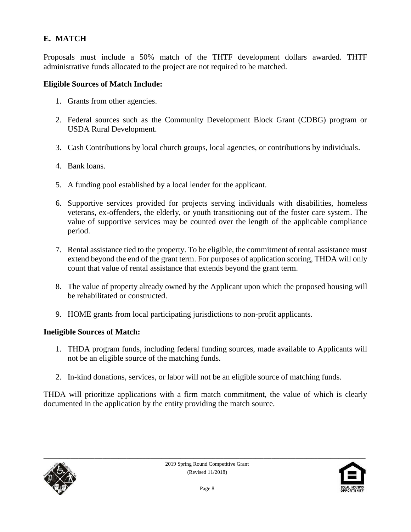# **E. MATCH**

Proposals must include a 50% match of the THTF development dollars awarded. THTF administrative funds allocated to the project are not required to be matched.

#### **Eligible Sources of Match Include:**

- 1. Grants from other agencies.
- 2. Federal sources such as the Community Development Block Grant (CDBG) program or USDA Rural Development.
- 3. Cash Contributions by local church groups, local agencies, or contributions by individuals.
- 4. Bank loans.
- 5. A funding pool established by a local lender for the applicant.
- 6. Supportive services provided for projects serving individuals with disabilities, homeless veterans, ex-offenders, the elderly, or youth transitioning out of the foster care system. The value of supportive services may be counted over the length of the applicable compliance period.
- 7. Rental assistance tied to the property. To be eligible, the commitment of rental assistance must extend beyond the end of the grant term. For purposes of application scoring, THDA will only count that value of rental assistance that extends beyond the grant term.
- 8. The value of property already owned by the Applicant upon which the proposed housing will be rehabilitated or constructed.
- 9. HOME grants from local participating jurisdictions to non-profit applicants.

#### **Ineligible Sources of Match:**

- 1. THDA program funds, including federal funding sources, made available to Applicants will not be an eligible source of the matching funds.
- 2. In-kind donations, services, or labor will not be an eligible source of matching funds.

THDA will prioritize applications with a firm match commitment, the value of which is clearly documented in the application by the entity providing the match source.



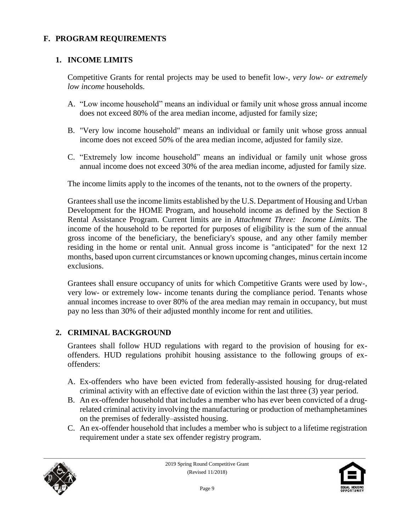#### **F. PROGRAM REQUIREMENTS**

#### **1. INCOME LIMITS**

Competitive Grants for rental projects may be used to benefit low-, *very low- or extremely low income* households.

- A. "Low income household" means an individual or family unit whose gross annual income does not exceed 80% of the area median income, adjusted for family size;
- B. "Very low income household" means an individual or family unit whose gross annual income does not exceed 50% of the area median income, adjusted for family size.
- C. "Extremely low income household" means an individual or family unit whose gross annual income does not exceed 30% of the area median income, adjusted for family size.

The income limits apply to the incomes of the tenants, not to the owners of the property.

Grantees shall use the income limits established by the U.S. Department of Housing and Urban Development for the HOME Program, and household income as defined by the Section 8 Rental Assistance Program. Current limits are in *Attachment Three: Income Limits*. The income of the household to be reported for purposes of eligibility is the sum of the annual gross income of the beneficiary, the beneficiary's spouse, and any other family member residing in the home or rental unit. Annual gross income is "anticipated" for the next 12 months, based upon current circumstances or known upcoming changes, minus certain income exclusions.

Grantees shall ensure occupancy of units for which Competitive Grants were used by low-, very low- or extremely low- income tenants during the compliance period. Tenants whose annual incomes increase to over 80% of the area median may remain in occupancy, but must pay no less than 30% of their adjusted monthly income for rent and utilities.

### **2. CRIMINAL BACKGROUND**

Grantees shall follow HUD regulations with regard to the provision of housing for exoffenders. HUD regulations prohibit housing assistance to the following groups of exoffenders:

- A. Ex-offenders who have been evicted from federally-assisted housing for drug-related criminal activity with an effective date of eviction within the last three (3) year period.
- B. An ex-offender household that includes a member who has ever been convicted of a drugrelated criminal activity involving the manufacturing or production of methamphetamines on the premises of federally–assisted housing.
- C. An ex-offender household that includes a member who is subject to a lifetime registration requirement under a state sex offender registry program.



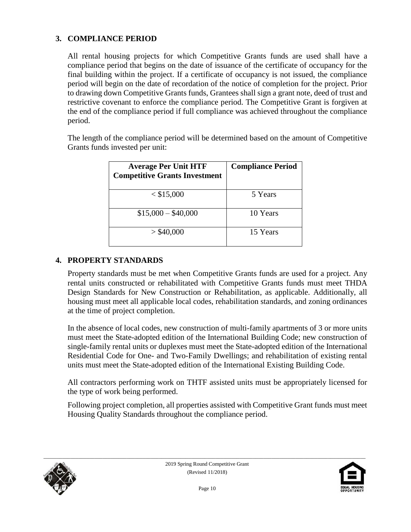#### **3. COMPLIANCE PERIOD**

All rental housing projects for which Competitive Grants funds are used shall have a compliance period that begins on the date of issuance of the certificate of occupancy for the final building within the project. If a certificate of occupancy is not issued, the compliance period will begin on the date of recordation of the notice of completion for the project. Prior to drawing down Competitive Grants funds, Grantees shall sign a grant note, deed of trust and restrictive covenant to enforce the compliance period. The Competitive Grant is forgiven at the end of the compliance period if full compliance was achieved throughout the compliance period.

The length of the compliance period will be determined based on the amount of Competitive Grants funds invested per unit:

| <b>Average Per Unit HTF</b><br><b>Competitive Grants Investment</b> | <b>Compliance Period</b> |
|---------------------------------------------------------------------|--------------------------|
| $<$ \$15,000                                                        | 5 Years                  |
| $$15,000 - $40,000$                                                 | 10 Years                 |
| $>$ \$40,000                                                        | 15 Years                 |

#### **4. PROPERTY STANDARDS**

Property standards must be met when Competitive Grants funds are used for a project. Any rental units constructed or rehabilitated with Competitive Grants funds must meet THDA Design Standards for New Construction or Rehabilitation, as applicable. Additionally, all housing must meet all applicable local codes, rehabilitation standards, and zoning ordinances at the time of project completion.

In the absence of local codes, new construction of multi-family apartments of 3 or more units must meet the State-adopted edition of the International Building Code; new construction of single-family rental units or duplexes must meet the State-adopted edition of the International Residential Code for One- and Two-Family Dwellings; and rehabilitation of existing rental units must meet the State-adopted edition of the International Existing Building Code.

All contractors performing work on THTF assisted units must be appropriately licensed for the type of work being performed.

Following project completion, all properties assisted with Competitive Grant funds must meet Housing Quality Standards throughout the compliance period.



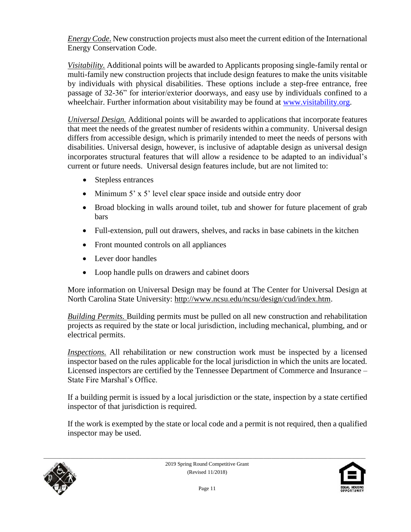*Energy Code*. New construction projects must also meet the current edition of the International Energy Conservation Code.

*Visitability.* Additional points will be awarded to Applicants proposing single-family rental or multi-family new construction projects that include design features to make the units visitable by individuals with physical disabilities. These options include a step-free entrance, free passage of 32-36" for interior/exterior doorways, and easy use by individuals confined to a wheelchair. Further information about visitability may be found at [www.visitability.org.](http://www.visitability.org/)

*Universal Design.* Additional points will be awarded to applications that incorporate features that meet the needs of the greatest number of residents within a community. Universal design differs from accessible design, which is primarily intended to meet the needs of persons with disabilities. Universal design, however, is inclusive of adaptable design as universal design incorporates structural features that will allow a residence to be adapted to an individual's current or future needs. Universal design features include, but are not limited to:

- Stepless entrances
- Minimum 5' x 5' level clear space inside and outside entry door
- Broad blocking in walls around toilet, tub and shower for future placement of grab bars
- Full-extension, pull out drawers, shelves, and racks in base cabinets in the kitchen
- Front mounted controls on all appliances
- Lever door handles
- Loop handle pulls on drawers and cabinet doors

More information on Universal Design may be found at The Center for Universal Design at North Carolina State University: [http://www.ncsu.edu/ncsu/design/cud/index.htm.](http://www.ncsu.edu/ncsu/design/cud/index.htm)

*Building Permits.* Building permits must be pulled on all new construction and rehabilitation projects as required by the state or local jurisdiction, including mechanical, plumbing, and or electrical permits.

*Inspections.* All rehabilitation or new construction work must be inspected by a licensed inspector based on the rules applicable for the local jurisdiction in which the units are located. Licensed inspectors are certified by the Tennessee Department of Commerce and Insurance – State Fire Marshal's Office.

If a building permit is issued by a local jurisdiction or the state, inspection by a state certified inspector of that jurisdiction is required.

If the work is exempted by the state or local code and a permit is not required, then a qualified inspector may be used.



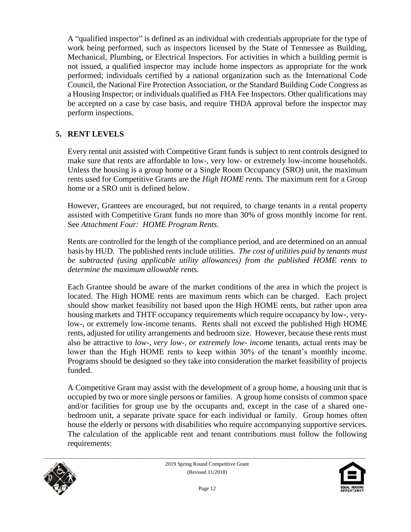A "qualified inspector" is defined as an individual with credentials appropriate for the type of work being performed, such as inspectors licensed by the State of Tennessee as Building, Mechanical, Plumbing, or Electrical Inspectors. For activities in which a building permit is not issued, a qualified inspector may include home inspectors as appropriate for the work performed; individuals certified by a national organization such as the International Code Council, the National Fire Protection Association, or the Standard Building Code Congress as a Housing Inspector; or individuals qualified as FHA Fee Inspectors. Other qualifications may be accepted on a case by case basis, and require THDA approval before the inspector may perform inspections.

#### **5. RENT LEVELS**

Every rental unit assisted with Competitive Grant funds is subject to rent controls designed to make sure that rents are affordable to low-, very low- or extremely low-income households. Unless the housing is a group home or a Single Room Occupancy (SRO) unit, the maximum rents used for Competitive Grants are the *High HOME rents.* The maximum rent for a Group home or a SRO unit is defined below.

However, Grantees are encouraged, but not required, to charge tenants in a rental property assisted with Competitive Grant funds no more than 30% of gross monthly income for rent. See *Attachment Four: HOME Program Rents*.

Rents are controlled for the length of the compliance period, and are determined on an annual basis by HUD. The published rents include utilities. *The cost of utilities paid by tenants must be subtracted (using applicable utility allowances) from the published HOME rents to determine the maximum allowable rents.*

Each Grantee should be aware of the market conditions of the area in which the project is located. The High HOME rents are maximum rents which can be charged. Each project should show market feasibility not based upon the High HOME rents, but rather upon area housing markets and THTF occupancy requirements which require occupancy by low-, verylow-, or extremely low-income tenants. Rents shall not exceed the published High HOME rents, adjusted for utility arrangements and bedroom size. However, because these rents must also be attractive to *low-, very low-, or extremely low- income* tenants, actual rents may be lower than the High HOME rents to keep within 30% of the tenant's monthly income. Programs should be designed so they take into consideration the market feasibility of projects funded.

A Competitive Grant may assist with the development of a group home, a housing unit that is occupied by two or more single persons or families. A group home consists of common space and/or facilities for group use by the occupants and, except in the case of a shared onebedroom unit, a separate private space for each individual or family. Group homes often house the elderly or persons with disabilities who require accompanying supportive services. The calculation of the applicable rent and tenant contributions must follow the following requirements:



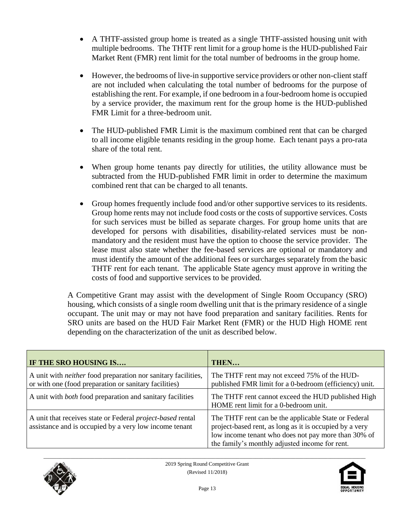- A THTF-assisted group home is treated as a single THTF-assisted housing unit with multiple bedrooms. The THTF rent limit for a group home is the HUD-published Fair Market Rent (FMR) rent limit for the total number of bedrooms in the group home.
- However, the bedrooms of live-in supportive service providers or other non-client staff are not included when calculating the total number of bedrooms for the purpose of establishing the rent. For example, if one bedroom in a four-bedroom home is occupied by a service provider, the maximum rent for the group home is the HUD-published FMR Limit for a three-bedroom unit.
- The HUD-published FMR Limit is the maximum combined rent that can be charged to all income eligible tenants residing in the group home. Each tenant pays a pro-rata share of the total rent.
- When group home tenants pay directly for utilities, the utility allowance must be subtracted from the HUD-published FMR limit in order to determine the maximum combined rent that can be charged to all tenants.
- Group homes frequently include food and/or other supportive services to its residents. Group home rents may not include food costs or the costs of supportive services. Costs for such services must be billed as separate charges. For group home units that are developed for persons with disabilities, disability-related services must be nonmandatory and the resident must have the option to choose the service provider. The lease must also state whether the fee-based services are optional or mandatory and must identify the amount of the additional fees or surcharges separately from the basic THTF rent for each tenant. The applicable State agency must approve in writing the costs of food and supportive services to be provided.

A Competitive Grant may assist with the development of Single Room Occupancy (SRO) housing, which consists of a single room dwelling unit that is the primary residence of a single occupant. The unit may or may not have food preparation and sanitary facilities. Rents for SRO units are based on the HUD Fair Market Rent (FMR) or the HUD High HOME rent depending on the characterization of the unit as described below.

| IF THE SRO HOUSING IS                                                                                                         | THEN                                                                                                                                                                                                                     |
|-------------------------------------------------------------------------------------------------------------------------------|--------------------------------------------------------------------------------------------------------------------------------------------------------------------------------------------------------------------------|
| A unit with <i>neither</i> food preparation nor sanitary facilities,<br>or with one (food preparation or sanitary facilities) | The THTF rent may not exceed 75% of the HUD-<br>published FMR limit for a 0-bedroom (efficiency) unit.                                                                                                                   |
| A unit with <i>both</i> food preparation and sanitary facilities                                                              | The THTF rent cannot exceed the HUD published High<br>HOME rent limit for a 0-bedroom unit.                                                                                                                              |
| A unit that receives state or Federal <i>project-based</i> rental<br>assistance and is occupied by a very low income tenant   | The THTF rent can be the applicable State or Federal<br>project-based rent, as long as it is occupied by a very<br>low income tenant who does not pay more than 30% of<br>the family's monthly adjusted income for rent. |



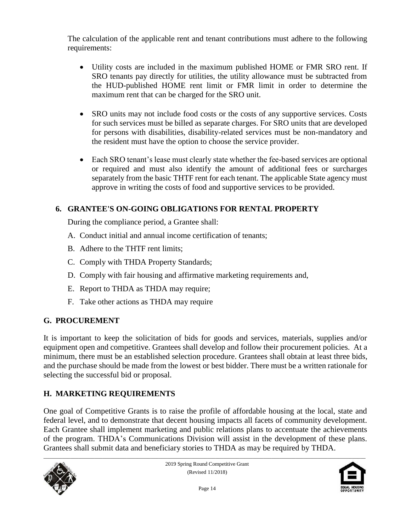The calculation of the applicable rent and tenant contributions must adhere to the following requirements:

- Utility costs are included in the maximum published HOME or FMR SRO rent. If SRO tenants pay directly for utilities, the utility allowance must be subtracted from the HUD-published HOME rent limit or FMR limit in order to determine the maximum rent that can be charged for the SRO unit.
- SRO units may not include food costs or the costs of any supportive services. Costs for such services must be billed as separate charges. For SRO units that are developed for persons with disabilities, disability-related services must be non-mandatory and the resident must have the option to choose the service provider.
- Each SRO tenant's lease must clearly state whether the fee-based services are optional or required and must also identify the amount of additional fees or surcharges separately from the basic THTF rent for each tenant. The applicable State agency must approve in writing the costs of food and supportive services to be provided.

# **6. GRANTEE'S ON-GOING OBLIGATIONS FOR RENTAL PROPERTY**

During the compliance period, a Grantee shall:

- A. Conduct initial and annual income certification of tenants;
- B. Adhere to the THTF rent limits;
- C. Comply with THDA Property Standards;
- D. Comply with fair housing and affirmative marketing requirements and,
- E. Report to THDA as THDA may require;
- F. Take other actions as THDA may require

### **G. PROCUREMENT**

It is important to keep the solicitation of bids for goods and services, materials, supplies and/or equipment open and competitive. Grantees shall develop and follow their procurement policies. At a minimum, there must be an established selection procedure. Grantees shall obtain at least three bids, and the purchase should be made from the lowest or best bidder. There must be a written rationale for selecting the successful bid or proposal.

# **H. MARKETING REQUIREMENTS**

One goal of Competitive Grants is to raise the profile of affordable housing at the local, state and federal level, and to demonstrate that decent housing impacts all facets of community development. Each Grantee shall implement marketing and public relations plans to accentuate the achievements of the program. THDA's Communications Division will assist in the development of these plans. Grantees shall submit data and beneficiary stories to THDA as may be required by THDA.



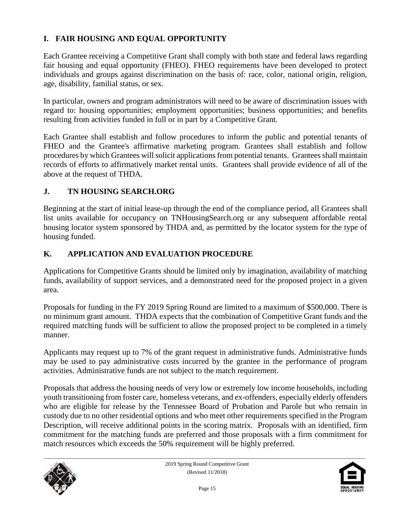## **I. FAIR HOUSING AND EQUAL OPPORTUNITY**

Each Grantee receiving a Competitive Grant shall comply with both state and federal laws regarding fair housing and equal opportunity (FHEO). FHEO requirements have been developed to protect individuals and groups against discrimination on the basis of: race, color, national origin, religion, age, disability, familial status, or sex.

In particular, owners and program administrators will need to be aware of discrimination issues with regard to: housing opportunities; employment opportunities; business opportunities; and benefits resulting from activities funded in full or in part by a Competitive Grant.

Each Grantee shall establish and follow procedures to inform the public and potential tenants of FHEO and the Grantee's affirmative marketing program. Grantees shall establish and follow procedures by which Grantees will solicit applications from potential tenants. Grantees shall maintain records of efforts to affirmatively market rental units. Grantees shall provide evidence of all of the above at the request of THDA.

#### **J. TN HOUSING SEARCH.ORG**

Beginning at the start of initial lease-up through the end of the compliance period, all Grantees shall list units available for occupancy on TNHousingSearch.org or any subsequent affordable rental housing locator system sponsored by THDA and, as permitted by the locator system for the type of housing funded.

### **K. APPLICATION AND EVALUATION PROCEDURE**

Applications for Competitive Grants should be limited only by imagination, availability of matching funds, availability of support services, and a demonstrated need for the proposed project in a given area.

Proposals for funding in the FY 2019 Spring Round are limited to a maximum of \$500,000. There is no minimum grant amount. THDA expects that the combination of Competitive Grant funds and the required matching funds will be sufficient to allow the proposed project to be completed in a timely manner.

Applicants may request up to 7% of the grant request in administrative funds. Administrative funds may be used to pay administrative costs incurred by the grantee in the performance of program activities. Administrative funds are not subject to the match requirement.

Proposals that address the housing needs of very low or extremely low income households, including youth transitioning from foster care, homeless veterans, and ex-offenders, especially elderly offenders who are eligible for release by the Tennessee Board of Probation and Parole but who remain in custody due to no other residential options and who meet other requirements specified in the Program Description, will receive additional points in the scoring matrix. Proposals with an identified, firm commitment for the matching funds are preferred and those proposals with a firm commitment for match resources which exceeds the 50% requirement will be highly preferred.



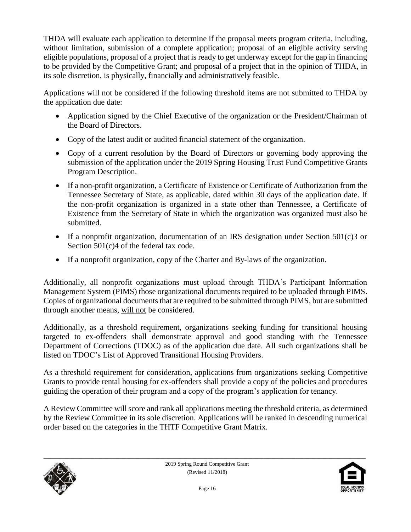THDA will evaluate each application to determine if the proposal meets program criteria, including, without limitation, submission of a complete application; proposal of an eligible activity serving eligible populations, proposal of a project that is ready to get underway except for the gap in financing to be provided by the Competitive Grant; and proposal of a project that in the opinion of THDA, in its sole discretion, is physically, financially and administratively feasible.

Applications will not be considered if the following threshold items are not submitted to THDA by the application due date:

- Application signed by the Chief Executive of the organization or the President/Chairman of the Board of Directors.
- Copy of the latest audit or audited financial statement of the organization.
- Copy of a current resolution by the Board of Directors or governing body approving the submission of the application under the 2019 Spring Housing Trust Fund Competitive Grants Program Description.
- If a non-profit organization, a Certificate of Existence or Certificate of Authorization from the Tennessee Secretary of State, as applicable, dated within 30 days of the application date. If the non-profit organization is organized in a state other than Tennessee, a Certificate of Existence from the Secretary of State in which the organization was organized must also be submitted.
- If a nonprofit organization, documentation of an IRS designation under Section  $501(c)3$  or Section 501(c)4 of the federal tax code.
- If a nonprofit organization, copy of the Charter and By-laws of the organization.

Additionally, all nonprofit organizations must upload through THDA's Participant Information Management System (PIMS) those organizational documents required to be uploaded through PIMS. Copies of organizational documents that are required to be submitted through PIMS, but are submitted through another means, will not be considered.

Additionally, as a threshold requirement, organizations seeking funding for transitional housing targeted to ex-offenders shall demonstrate approval and good standing with the Tennessee Department of Corrections (TDOC) as of the application due date. All such organizations shall be listed on TDOC's List of Approved Transitional Housing Providers.

As a threshold requirement for consideration, applications from organizations seeking Competitive Grants to provide rental housing for ex-offenders shall provide a copy of the policies and procedures guiding the operation of their program and a copy of the program's application for tenancy.

A Review Committee will score and rank all applications meeting the threshold criteria, as determined by the Review Committee in its sole discretion. Applications will be ranked in descending numerical order based on the categories in the THTF Competitive Grant Matrix.



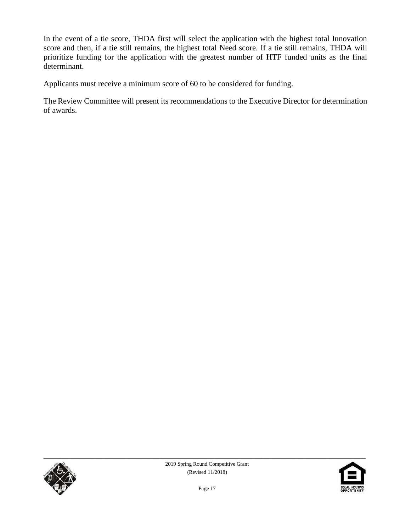In the event of a tie score, THDA first will select the application with the highest total Innovation score and then, if a tie still remains, the highest total Need score. If a tie still remains, THDA will prioritize funding for the application with the greatest number of HTF funded units as the final determinant.

Applicants must receive a minimum score of 60 to be considered for funding.

The Review Committee will present its recommendations to the Executive Director for determination of awards.



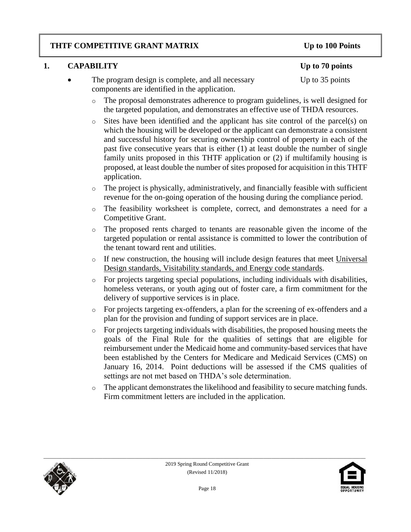#### **THTF COMPETITIVE GRANT MATRIX Up to 100 Points**

### **1. CAPABILITY Up to 70 points**

- The program design is complete, and all necessary Up to 35 points components are identified in the application.
	- o The proposal demonstrates adherence to program guidelines, is well designed for the targeted population, and demonstrates an effective use of THDA resources.
	- o Sites have been identified and the applicant has site control of the parcel(s) on which the housing will be developed or the applicant can demonstrate a consistent and successful history for securing ownership control of property in each of the past five consecutive years that is either (1) at least double the number of single family units proposed in this THTF application or (2) if multifamily housing is proposed, at least double the number of sites proposed for acquisition in this THTF application.
	- o The project is physically, administratively, and financially feasible with sufficient revenue for the on-going operation of the housing during the compliance period.
	- o The feasibility worksheet is complete, correct, and demonstrates a need for a Competitive Grant.
	- o The proposed rents charged to tenants are reasonable given the income of the targeted population or rental assistance is committed to lower the contribution of the tenant toward rent and utilities.
	- o If new construction, the housing will include design features that meet Universal Design standards, Visitability standards, and Energy code standards.
	- o For projects targeting special populations, including individuals with disabilities, homeless veterans, or youth aging out of foster care, a firm commitment for the delivery of supportive services is in place.
	- o For projects targeting ex-offenders, a plan for the screening of ex-offenders and a plan for the provision and funding of support services are in place.
	- o For projects targeting individuals with disabilities, the proposed housing meets the goals of the Final Rule for the qualities of settings that are eligible for reimbursement under the Medicaid home and community-based services that have been established by the Centers for Medicare and Medicaid Services (CMS) on January 16, 2014. Point deductions will be assessed if the CMS qualities of settings are not met based on THDA's sole determination.
	- o The applicant demonstrates the likelihood and feasibility to secure matching funds. Firm commitment letters are included in the application.



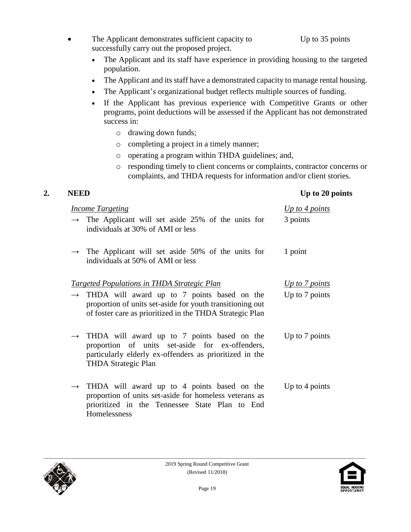- The Applicant demonstrates sufficient capacity to Up to 35 points successfully carry out the proposed project.
	- The Applicant and its staff have experience in providing housing to the targeted population.
	- The Applicant and its staff have a demonstrated capacity to manage rental housing.
	- The Applicant's organizational budget reflects multiple sources of funding.
	- If the Applicant has previous experience with Competitive Grants or other programs, point deductions will be assessed if the Applicant has not demonstrated success in:
		- o drawing down funds;
		- o completing a project in a timely manner;
		- o operating a program within THDA guidelines; and,
		- o responding timely to client concerns or complaints, contractor concerns or complaints, and THDA requests for information and/or client stories.

#### **2. NEED Up to 20 points**

| <b>Income Targeting</b> |                                                                                                                                                                                                       | Up to 4 points |
|-------------------------|-------------------------------------------------------------------------------------------------------------------------------------------------------------------------------------------------------|----------------|
|                         | $\rightarrow$ The Applicant will set aside 25% of the units for<br>individuals at 30% of AMI or less                                                                                                  | 3 points       |
|                         | $\rightarrow$ The Applicant will set aside 50% of the units for<br>individuals at 50% of AMI or less                                                                                                  | 1 point        |
|                         | <u><b>Targeted Populations in THDA Strategic Plan</b></u>                                                                                                                                             | Up to 7 points |
|                         | $\rightarrow$ THDA will award up to 7 points based on the<br>proportion of units set-aside for youth transitioning out<br>of foster care as prioritized in the THDA Strategic Plan                    | Up to 7 points |
|                         | $\rightarrow$ THDA will award up to 7 points based on the<br>proportion of units set-aside for ex-offenders,<br>particularly elderly ex-offenders as prioritized in the<br><b>THDA Strategic Plan</b> | Up to 7 points |
| $\rightarrow$           | THDA will award up to 4 points based on the<br>proportion of units set-aside for homeless veterans as<br>prioritized in the Tennessee State Plan to End<br>Homelessness                               | Up to 4 points |